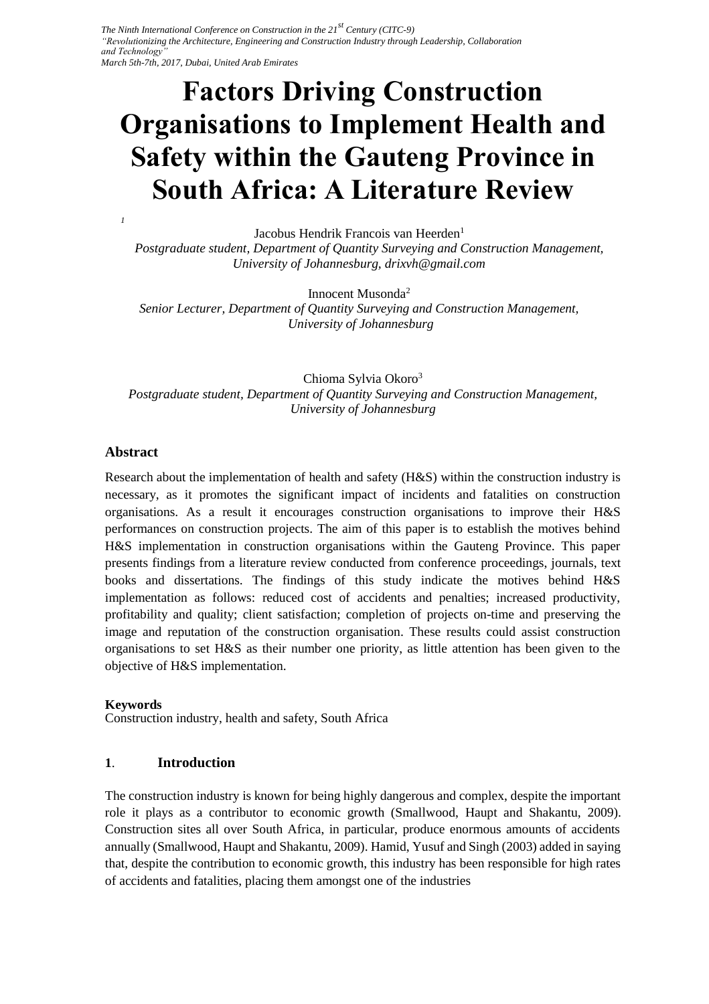# **Factors Driving Construction Organisations to Implement Health and Safety within the Gauteng Province in South Africa: A Literature Review**

Jacobus Hendrik Francois van Heerden<sup>1</sup>  *Postgraduate student, Department of Quantity Surveying and Construction Management, University of Johannesburg, drixvh@gmail.com* 

Innocent Musonda<sup>2</sup>  *Senior Lecturer, Department of Quantity Surveying and Construction Management, University of Johannesburg* 

Chioma Sylvia Okoro<sup>3</sup> *Postgraduate student, Department of Quantity Surveying and Construction Management, University of Johannesburg* 

### **Abstract**

*1*

Research about the implementation of health and safety (H&S) within the construction industry is necessary, as it promotes the significant impact of incidents and fatalities on construction organisations. As a result it encourages construction organisations to improve their H&S performances on construction projects. The aim of this paper is to establish the motives behind H&S implementation in construction organisations within the Gauteng Province. This paper presents findings from a literature review conducted from conference proceedings, journals, text books and dissertations. The findings of this study indicate the motives behind H&S implementation as follows: reduced cost of accidents and penalties; increased productivity, profitability and quality; client satisfaction; completion of projects on-time and preserving the image and reputation of the construction organisation. These results could assist construction organisations to set H&S as their number one priority, as little attention has been given to the objective of H&S implementation.

#### **Keywords**

Construction industry, health and safety, South Africa

### **1**. **Introduction**

The construction industry is known for being highly dangerous and complex, despite the important role it plays as a contributor to economic growth (Smallwood, Haupt and Shakantu, 2009). Construction sites all over South Africa, in particular, produce enormous amounts of accidents annually (Smallwood, Haupt and Shakantu, 2009). Hamid, Yusuf and Singh (2003) added in saying that, despite the contribution to economic growth, this industry has been responsible for high rates of accidents and fatalities, placing them amongst one of the industries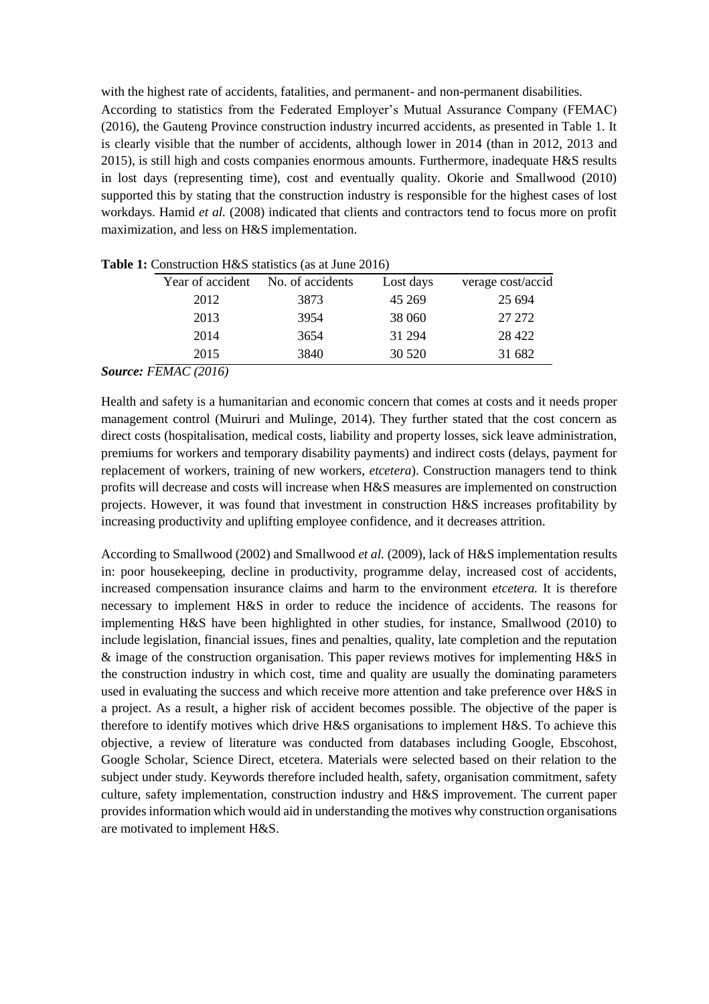with the highest rate of accidents, fatalities, and permanent- and non-permanent disabilities. According to statistics from the Federated Employer's Mutual Assurance Company (FEMAC) (2016), the Gauteng Province construction industry incurred accidents, as presented in Table 1. It is clearly visible that the number of accidents, although lower in 2014 (than in 2012, 2013 and 2015), is still high and costs companies enormous amounts. Furthermore, inadequate H&S results in lost days (representing time), cost and eventually quality. Okorie and Smallwood (2010) supported this by stating that the construction industry is responsible for the highest cases of lost workdays. Hamid *et al.* (2008) indicated that clients and contractors tend to focus more on profit maximization, and less on H&S implementation.

| Year of accident | No. of accidents | Lost days | verage cost/accid |
|------------------|------------------|-----------|-------------------|
| 2012             | 3873             | 45 269    | 25 694            |
| 2013             | 3954             | 38 060    | 27 272            |
| 2014             | 3654             | 31 294    | 28 4 22           |
| 2015             | 3840             | 30 5 20   | 31 682            |
|                  |                  |           |                   |

**Table 1:** Construction H&S statistics (as at June 2016)

#### *Source: FEMAC (2016)*

Health and safety is a humanitarian and economic concern that comes at costs and it needs proper management control (Muiruri and Mulinge, 2014). They further stated that the cost concern as direct costs (hospitalisation, medical costs, liability and property losses, sick leave administration, premiums for workers and temporary disability payments) and indirect costs (delays, payment for replacement of workers, training of new workers, *etcetera*). Construction managers tend to think profits will decrease and costs will increase when H&S measures are implemented on construction projects. However, it was found that investment in construction H&S increases profitability by increasing productivity and uplifting employee confidence, and it decreases attrition.

According to Smallwood (2002) and Smallwood *et al.* (2009), lack of H&S implementation results in: poor housekeeping, decline in productivity, programme delay, increased cost of accidents, increased compensation insurance claims and harm to the environment *etcetera.* It is therefore necessary to implement H&S in order to reduce the incidence of accidents. The reasons for implementing H&S have been highlighted in other studies, for instance, Smallwood (2010) to include legislation, financial issues, fines and penalties, quality, late completion and the reputation & image of the construction organisation. This paper reviews motives for implementing H&S in the construction industry in which cost, time and quality are usually the dominating parameters used in evaluating the success and which receive more attention and take preference over H&S in a project. As a result, a higher risk of accident becomes possible. The objective of the paper is therefore to identify motives which drive H&S organisations to implement H&S. To achieve this objective, a review of literature was conducted from databases including Google, Ebscohost, Google Scholar, Science Direct, etcetera. Materials were selected based on their relation to the subject under study. Keywords therefore included health, safety, organisation commitment, safety culture, safety implementation, construction industry and H&S improvement. The current paper provides information which would aid in understanding the motives why construction organisations are motivated to implement H&S.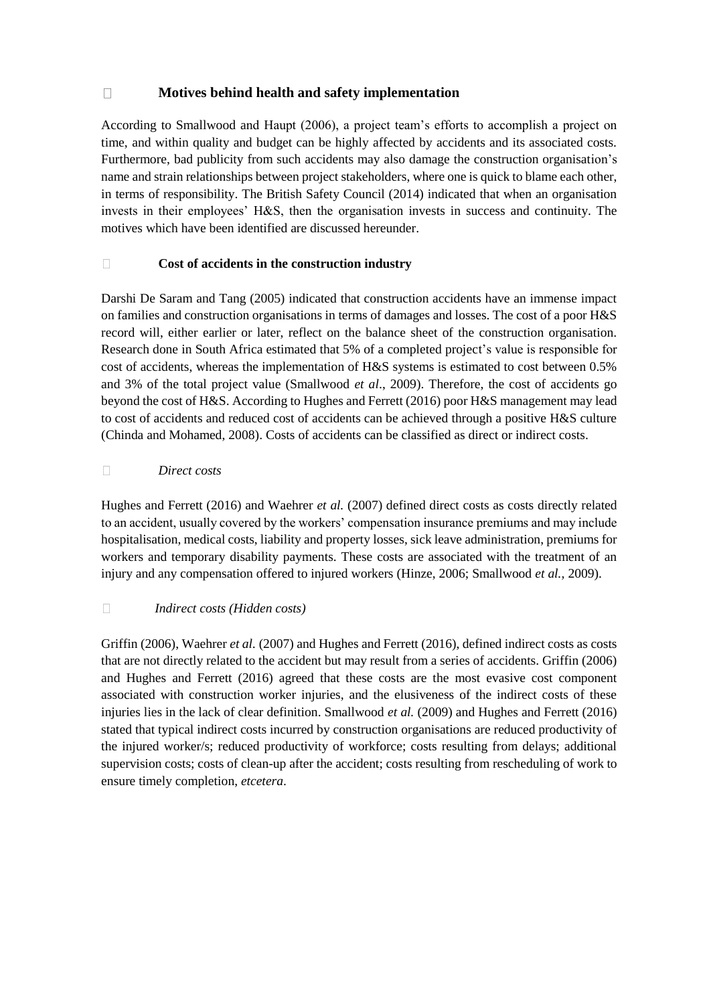#### $\Box$ **Motives behind health and safety implementation**

According to Smallwood and Haupt (2006), a project team's efforts to accomplish a project on time, and within quality and budget can be highly affected by accidents and its associated costs. Furthermore, bad publicity from such accidents may also damage the construction organisation's name and strain relationships between project stakeholders, where one is quick to blame each other, in terms of responsibility. The British Safety Council (2014) indicated that when an organisation invests in their employees' H&S, then the organisation invests in success and continuity. The motives which have been identified are discussed hereunder.

#### $\Box$ **Cost of accidents in the construction industry**

Darshi De Saram and Tang (2005) indicated that construction accidents have an immense impact on families and construction organisations in terms of damages and losses. The cost of a poor H&S record will, either earlier or later, reflect on the balance sheet of the construction organisation. Research done in South Africa estimated that 5% of a completed project's value is responsible for cost of accidents, whereas the implementation of H&S systems is estimated to cost between 0.5% and 3% of the total project value (Smallwood *et al*., 2009). Therefore, the cost of accidents go beyond the cost of H&S. According to Hughes and Ferrett (2016) poor H&S management may lead to cost of accidents and reduced cost of accidents can be achieved through a positive H&S culture (Chinda and Mohamed, 2008). Costs of accidents can be classified as direct or indirect costs.

#### *Direct costs*  $\Box$

Hughes and Ferrett (2016) and Waehrer *et al.* (2007) defined direct costs as costs directly related to an accident, usually covered by the workers' compensation insurance premiums and may include hospitalisation, medical costs, liability and property losses, sick leave administration, premiums for workers and temporary disability payments. These costs are associated with the treatment of an injury and any compensation offered to injured workers (Hinze, 2006; Smallwood *et al.,* 2009).

#### $\Box$ *Indirect costs (Hidden costs)*

Griffin (2006), Waehrer *et al.* (2007) and Hughes and Ferrett (2016), defined indirect costs as costs that are not directly related to the accident but may result from a series of accidents. Griffin (2006) and Hughes and Ferrett (2016) agreed that these costs are the most evasive cost component associated with construction worker injuries, and the elusiveness of the indirect costs of these injuries lies in the lack of clear definition. Smallwood *et al.* (2009) and Hughes and Ferrett (2016) stated that typical indirect costs incurred by construction organisations are reduced productivity of the injured worker/s; reduced productivity of workforce; costs resulting from delays; additional supervision costs; costs of clean-up after the accident; costs resulting from rescheduling of work to ensure timely completion, *etcetera*.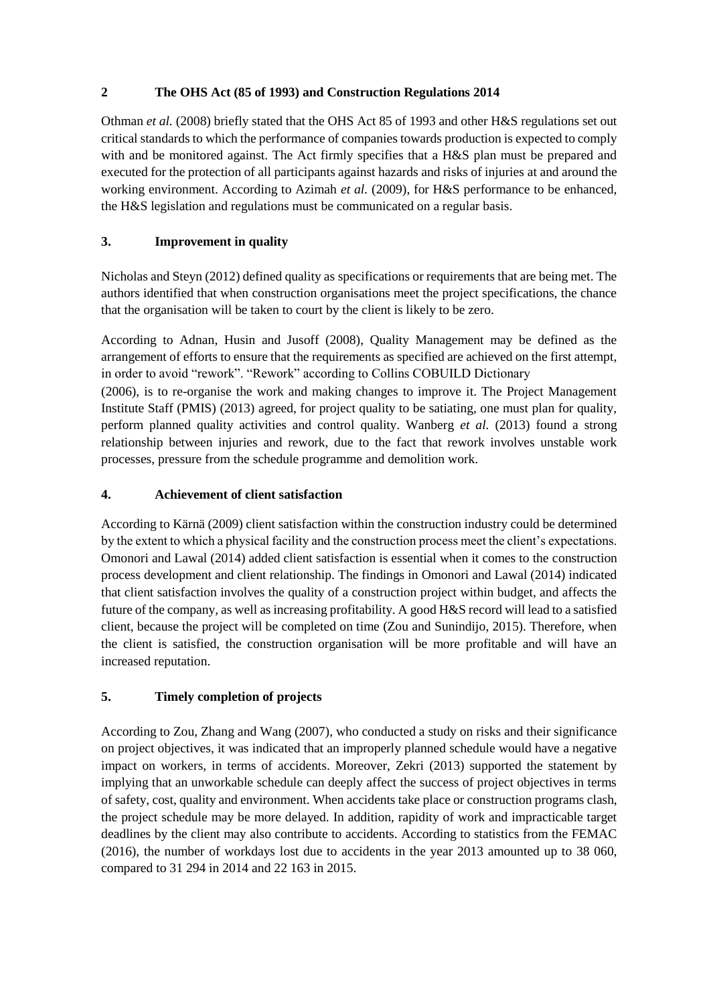### **2 The OHS Act (85 of 1993) and Construction Regulations 2014**

Othman *et al.* (2008) briefly stated that the OHS Act 85 of 1993 and other H&S regulations set out critical standards to which the performance of companies towards production is expected to comply with and be monitored against. The Act firmly specifies that a H&S plan must be prepared and executed for the protection of all participants against hazards and risks of injuries at and around the working environment. According to Azimah *et al.* (2009), for H&S performance to be enhanced, the H&S legislation and regulations must be communicated on a regular basis.

# **3. Improvement in quality**

Nicholas and Steyn (2012) defined quality as specifications or requirements that are being met. The authors identified that when construction organisations meet the project specifications, the chance that the organisation will be taken to court by the client is likely to be zero.

According to Adnan, Husin and Jusoff (2008), Quality Management may be defined as the arrangement of efforts to ensure that the requirements as specified are achieved on the first attempt, in order to avoid "rework". "Rework" according to Collins COBUILD Dictionary

(2006), is to re-organise the work and making changes to improve it. The Project Management Institute Staff (PMIS) (2013) agreed, for project quality to be satiating, one must plan for quality, perform planned quality activities and control quality. Wanberg *et al.* (2013) found a strong relationship between injuries and rework, due to the fact that rework involves unstable work processes, pressure from the schedule programme and demolition work.

### **4. Achievement of client satisfaction**

According to Kärnä (2009) client satisfaction within the construction industry could be determined by the extent to which a physical facility and the construction process meet the client's expectations. Omonori and Lawal (2014) added client satisfaction is essential when it comes to the construction process development and client relationship. The findings in Omonori and Lawal (2014) indicated that client satisfaction involves the quality of a construction project within budget, and affects the future of the company, as well as increasing profitability. A good H&S record will lead to a satisfied client, because the project will be completed on time (Zou and Sunindijo, 2015). Therefore, when the client is satisfied, the construction organisation will be more profitable and will have an increased reputation.

# **5. Timely completion of projects**

According to Zou, Zhang and Wang (2007), who conducted a study on risks and their significance on project objectives, it was indicated that an improperly planned schedule would have a negative impact on workers, in terms of accidents. Moreover, Zekri (2013) supported the statement by implying that an unworkable schedule can deeply affect the success of project objectives in terms of safety, cost, quality and environment. When accidents take place or construction programs clash, the project schedule may be more delayed. In addition, rapidity of work and impracticable target deadlines by the client may also contribute to accidents. According to statistics from the FEMAC (2016), the number of workdays lost due to accidents in the year 2013 amounted up to 38 060, compared to 31 294 in 2014 and 22 163 in 2015.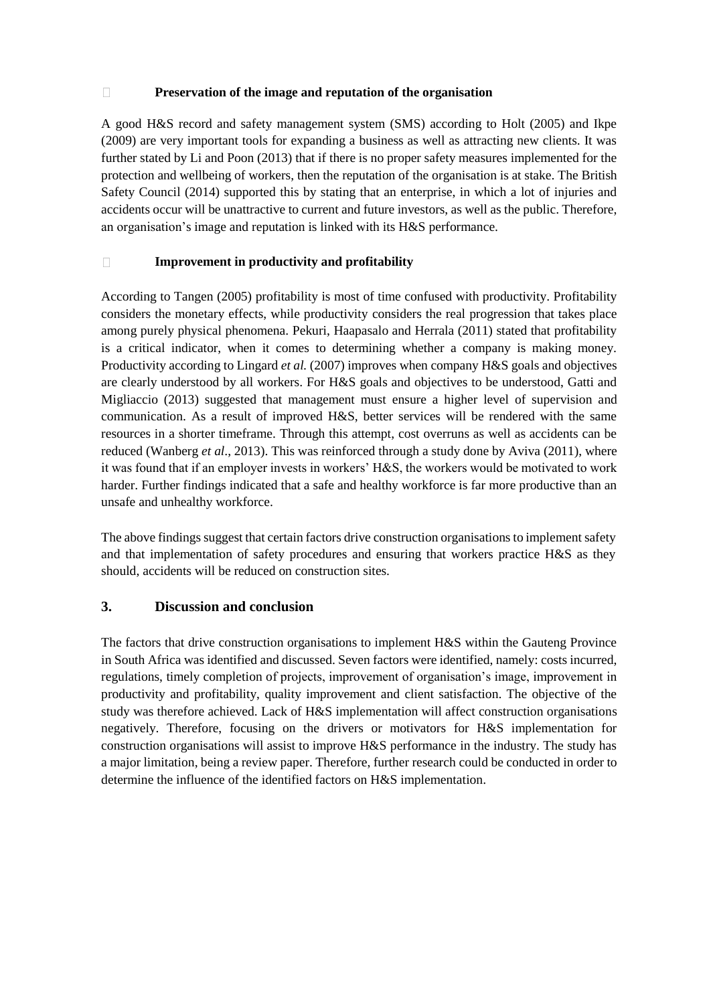#### $\Box$ **Preservation of the image and reputation of the organisation**

A good H&S record and safety management system (SMS) according to Holt (2005) and Ikpe (2009) are very important tools for expanding a business as well as attracting new clients. It was further stated by Li and Poon (2013) that if there is no proper safety measures implemented for the protection and wellbeing of workers, then the reputation of the organisation is at stake. The British Safety Council (2014) supported this by stating that an enterprise, in which a lot of injuries and accidents occur will be unattractive to current and future investors, as well as the public. Therefore, an organisation's image and reputation is linked with its H&S performance.

#### **Improvement in productivity and profitability**  $\Box$

According to Tangen (2005) profitability is most of time confused with productivity. Profitability considers the monetary effects, while productivity considers the real progression that takes place among purely physical phenomena. Pekuri, Haapasalo and Herrala (2011) stated that profitability is a critical indicator, when it comes to determining whether a company is making money. Productivity according to Lingard *et al.* (2007) improves when company H&S goals and objectives are clearly understood by all workers. For H&S goals and objectives to be understood, Gatti and Migliaccio (2013) suggested that management must ensure a higher level of supervision and communication. As a result of improved H&S, better services will be rendered with the same resources in a shorter timeframe. Through this attempt, cost overruns as well as accidents can be reduced (Wanberg *et al*., 2013). This was reinforced through a study done by Aviva (2011), where it was found that if an employer invests in workers' H&S, the workers would be motivated to work harder. Further findings indicated that a safe and healthy workforce is far more productive than an unsafe and unhealthy workforce.

The above findings suggest that certain factors drive construction organisations to implement safety and that implementation of safety procedures and ensuring that workers practice H&S as they should, accidents will be reduced on construction sites.

### **3. Discussion and conclusion**

The factors that drive construction organisations to implement H&S within the Gauteng Province in South Africa was identified and discussed. Seven factors were identified, namely: costs incurred, regulations, timely completion of projects, improvement of organisation's image, improvement in productivity and profitability, quality improvement and client satisfaction. The objective of the study was therefore achieved. Lack of H&S implementation will affect construction organisations negatively. Therefore, focusing on the drivers or motivators for H&S implementation for construction organisations will assist to improve H&S performance in the industry. The study has a major limitation, being a review paper. Therefore, further research could be conducted in order to determine the influence of the identified factors on H&S implementation.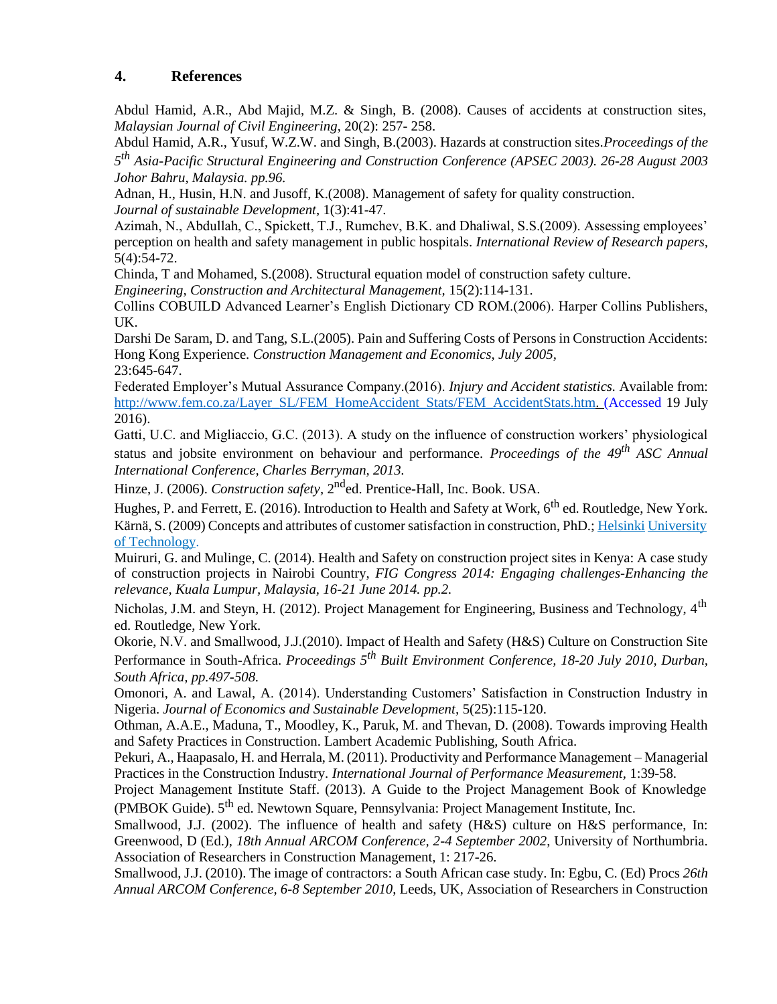### **4. References**

Abdul Hamid, A.R., Abd Majid, M.Z. & Singh, B. (2008). Causes of accidents at construction sites, *Malaysian Journal of Civil Engineering*, 20(2): 257- 258.

Abdul Hamid, A.R., Yusuf, W.Z.W. and Singh, B.(2003). Hazards at construction sites.*Proceedings of the 5 th Asia-Pacific Structural Engineering and Construction Conference (APSEC 2003). 26-28 August 2003 Johor Bahru, Malaysia. pp.96.*

Adnan, H., Husin, H.N. and Jusoff, K.(2008). Management of safety for quality construction. *Journal of sustainable Development*, 1(3):41-47.

Azimah, N., Abdullah, C., Spickett, T.J., Rumchev, B.K. and Dhaliwal, S.S.(2009). Assessing employees' perception on health and safety management in public hospitals. *International Review of Research papers,*  5(4):54-72.

Chinda, T and Mohamed, S.(2008). Structural equation model of construction safety culture.

*Engineering, Construction and Architectural Management,* 15(2):114-131.

Collins COBUILD Advanced Learner's English Dictionary CD ROM.(2006). Harper Collins Publishers, UK.

Darshi De Saram, D. and Tang, S.L.(2005). Pain and Suffering Costs of Persons in Construction Accidents: Hong Kong Experience. *Construction Management and Economics, July 2005,* 23:645-647.

Federated Employer's Mutual Assurance Company.(2016). *Injury and Accident statistics.* Available from: [http://www.fem.co.za/Layer\\_SL/FEM\\_HomeAccident\\_Stats/FEM\\_AccidentStats.htm. \(](http://www.fem.co.za/Layer_SL/FEM_HomeAccident_Stats/FEM_Accident%20Stats.htm)Accessed 19 July 2016).

Gatti, U.C. and Migliaccio, G.C. (2013). A study on the influence of construction workers' physiological status and jobsite environment on behaviour and performance. *Proceedings of the 49th ASC Annual International Conference, Charles Berryman, 2013.*

Hinze, J. (2006). *Construction safety*, 2<sup>nd</sup>ed. Prentice-Hall, Inc. Book. USA.

Hughes, P. and Ferrett, E. (2016). Introduction to Health and Safety at Work, 6<sup>th</sup> ed. Routledge, New York. Kärnä, S. (2009) Concepts and attributes of customer satisfaction in construction, PhD.; Helsinki University of Technology.

Muiruri, G. and Mulinge, C. (2014). Health and Safety on construction project sites in Kenya: A case study of construction projects in Nairobi Country, *FIG Congress 2014: Engaging challenges-Enhancing the relevance, Kuala Lumpur, Malaysia, 16-21 June 2014. pp.2.*

Nicholas, J.M. and Steyn, H. (2012). Project Management for Engineering, Business and Technology, 4<sup>th</sup> ed. Routledge, New York.

Okorie, N.V. and Smallwood, J.J.(2010). Impact of Health and Safety (H&S) Culture on Construction Site Performance in South-Africa. *Proceedings 5th Built Environment Conference, 18-20 July 2010, Durban, South Africa, pp.497-508.*

Omonori, A. and Lawal, A. (2014). Understanding Customers' Satisfaction in Construction Industry in Nigeria. *Journal of Economics and Sustainable Development,* 5(25):115-120.

Othman, A.A.E., Maduna, T., Moodley, K., Paruk, M. and Thevan, D. (2008). Towards improving Health and Safety Practices in Construction. Lambert Academic Publishing, South Africa.

Pekuri, A., Haapasalo, H. and Herrala, M. (2011). Productivity and Performance Management – Managerial Practices in the Construction Industry. *International Journal of Performance Measurement,* 1:39-58.

Project Management Institute Staff. (2013). A Guide to the Project Management Book of Knowledge (PMBOK Guide). 5<sup>th</sup> ed. Newtown Square, Pennsylvania: Project Management Institute, Inc.

Smallwood, J.J. (2002). The influence of health and safety (H&S) culture on H&S performance, In: Greenwood, D (Ed.), *18th Annual ARCOM Conference, 2-4 September 2002*, University of Northumbria. Association of Researchers in Construction Management, 1: 217-26.

Smallwood, J.J. (2010). The image of contractors: a South African case study. In: Egbu, C. (Ed) Procs *26th Annual ARCOM Conference, 6-8 September 2010*, Leeds, UK, Association of Researchers in Construction